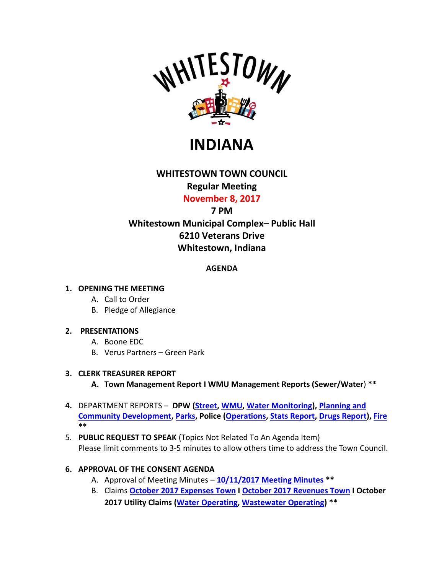

**INDIANA**

# **WHITESTOWN TOWN COUNCIL**

## **Regular Meeting**

**November 8, 2017**

## **7 PM**

## **Whitestown Municipal Complex– Public Hall 6210 Veterans Drive Whitestown, Indiana**

## **AGENDA**

## **1. OPENING THE MEETING**

- A. Call to Order
- B. Pledge of Allegiance

## **2. PRESENTATIONS**

- A. Boone EDC
- B. Verus Partners Green Park

## **3. CLERK TREASURER REPORT**

- **A. Town Management Report I WMU Management Reports (Sewer/Water**) **\*\***
- **4.** DEPARTMENT REPORTS **DPW [\(Street,](http://www.whitestown.in.gov/vertical/sites/%7BB8BE8AC3-9DE8-4247-BCB0-1173F48CC7C3%7D/uploads/Streets_Monthly_Report_11.2017.pdf) [WMU,](http://www.whitestown.in.gov/vertical/sites/%7BB8BE8AC3-9DE8-4247-BCB0-1173F48CC7C3%7D/uploads/Utility_Update_10.2017.pdf) [Water Monitoring\)](http://www.whitestown.in.gov/vertical/sites/%7BB8BE8AC3-9DE8-4247-BCB0-1173F48CC7C3%7D/uploads/Water_MRO_October_2017.pdf), [Planning and](http://www.whitestown.in.gov/vertical/sites/%7BB8BE8AC3-9DE8-4247-BCB0-1173F48CC7C3%7D/uploads/Planning_and_Community_Development_Monthly_Report_October_2017_.pdf)  [Community Development,](http://www.whitestown.in.gov/vertical/sites/%7BB8BE8AC3-9DE8-4247-BCB0-1173F48CC7C3%7D/uploads/Planning_and_Community_Development_Monthly_Report_October_2017_.pdf) [Parks,](http://www.whitestown.in.gov/vertical/sites/%7BB8BE8AC3-9DE8-4247-BCB0-1173F48CC7C3%7D/uploads/2017_-_November_Council_Report.pdf) Police [\(Operations,](http://www.whitestown.in.gov/vertical/sites/%7BB8BE8AC3-9DE8-4247-BCB0-1173F48CC7C3%7D/uploads/WPD_-_TC_Rpt_11.2017.pdf) [Stats Report,](http://www.whitestown.in.gov/vertical/sites/%7BB8BE8AC3-9DE8-4247-BCB0-1173F48CC7C3%7D/uploads/WMPD_Statical_Data_11.2017.pdf) [Drugs Report\)](http://www.whitestown.in.gov/vertical/sites/%7BB8BE8AC3-9DE8-4247-BCB0-1173F48CC7C3%7D/uploads/wmpd_drug_statics_2017(6).pdf), [Fire](http://www.whitestown.in.gov/vertical/sites/%7BB8BE8AC3-9DE8-4247-BCB0-1173F48CC7C3%7D/uploads/WFD_Monthly_Report_-_WTC_OCT17_Mtg.pdf) \*\***
- 5. **PUBLIC REQUEST TO SPEAK** (Topics Not Related To An Agenda Item) Please limit comments to 3-5 minutes to allow others time to address the Town Council.

## **6. APPROVAL OF THE CONSENT AGENDA**

- A. Approval of Meeting Minutes **[10/11/2017 Meeting Minutes](http://www.whitestown.in.gov/vertical/sites/%7BB8BE8AC3-9DE8-4247-BCB0-1173F48CC7C3%7D/uploads/10-11-17_Whitestown_Town_Council_Minutes.pdf) \*\***
- B. Claims **October [2017 Expenses Town](http://www.whitestown.in.gov/vertical/sites/%7BB8BE8AC3-9DE8-4247-BCB0-1173F48CC7C3%7D/uploads/October_2017_Expense_Report.pdf) I October [2017 Revenues Town](http://www.whitestown.in.gov/vertical/sites/%7BB8BE8AC3-9DE8-4247-BCB0-1173F48CC7C3%7D/uploads/October_2017_Revenue_Report.pdf) I October 2017 Utility Claims (Water [Operating,](http://www.whitestown.in.gov/vertical/sites/%7BB8BE8AC3-9DE8-4247-BCB0-1173F48CC7C3%7D/uploads/Water_Operating_Claims_Docket_11.08.17.pdf) [Wastewater Operating\)](http://www.whitestown.in.gov/vertical/sites/%7BB8BE8AC3-9DE8-4247-BCB0-1173F48CC7C3%7D/uploads/Sewer_Operating_Claims_Docket_11.08.17.pdf) \*\***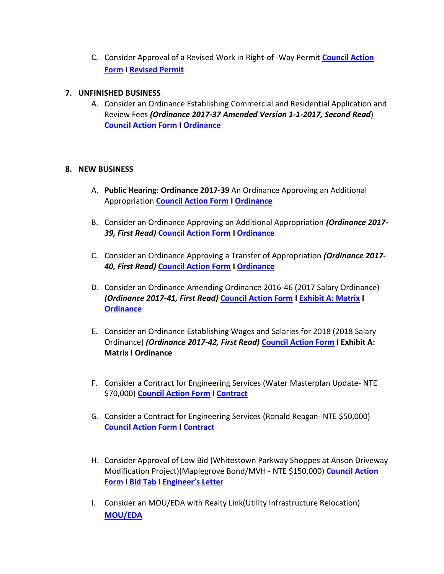C. Consider Approval of a Revised Work in Right-of -Way Permit **[Council Action](http://www.whitestown.in.gov/vertical/sites/%7BB8BE8AC3-9DE8-4247-BCB0-1173F48CC7C3%7D/uploads/Council_Action_Form_11-08-17_Consent_Agenda_Item_C_(Work_In_Right_of_Way_Permit).pdf)  [Form](http://www.whitestown.in.gov/vertical/sites/%7BB8BE8AC3-9DE8-4247-BCB0-1173F48CC7C3%7D/uploads/Council_Action_Form_11-08-17_Consent_Agenda_Item_C_(Work_In_Right_of_Way_Permit).pdf)** I **[Revised Permit](http://www.whitestown.in.gov/vertical/sites/%7BB8BE8AC3-9DE8-4247-BCB0-1173F48CC7C3%7D/uploads/Whitestown_Application_-_Work_in_Right-of-way_permit_(Revised_2017).pdf)**

#### **7. UNFINISHED BUSINESS**

A. Consider an Ordinance Establishing Commercial and Residential Application and Review Fees *(Ordinance 2017-37 Amended Version 1-1-2017, Second Read*) **[Council Action Form](http://www.whitestown.in.gov/vertical/sites/%7BB8BE8AC3-9DE8-4247-BCB0-1173F48CC7C3%7D/uploads/Council_Action_Form_11-08-17_Unfinished_Biz_Agenda_Item_A_(Ordinance_2017-37).pdf) I [Ordinance](http://www.whitestown.in.gov/vertical/sites/%7BB8BE8AC3-9DE8-4247-BCB0-1173F48CC7C3%7D/uploads/Whitestown_Ordinance_2017-37_Commercial_and_Residential_Application_and_Review_Fees_(Amedned_11-1-2017).pdf)**

#### **8. NEW BUSINESS**

- A. **Public Hearing**: **Ordinance 2017-39** An Ordinance Approving an Additional Appropriation **[Council Action Form](http://www.whitestown.in.gov/vertical/sites/%7BB8BE8AC3-9DE8-4247-BCB0-1173F48CC7C3%7D/uploads/Council_Action_Form_11-08-17_New_Business_Agenda_Item_A_(Public_Hearing-Additional_Appropriation_6).pdf) I [Ordinance](http://www.whitestown.in.gov/vertical/sites/%7BB8BE8AC3-9DE8-4247-BCB0-1173F48CC7C3%7D/uploads/Whitestown_Ordinance_2017-39_6_Additional_Appropriation.pdf)**
- B. Consider an Ordinance Approving an Additional Appropriation *(Ordinance 2017- 39, First Read)* **[Council Action Form](http://www.whitestown.in.gov/vertical/sites/%7BB8BE8AC3-9DE8-4247-BCB0-1173F48CC7C3%7D/uploads/Council_Action_Form_11-08-17_New_Business_Agenda_Item_B_(Additional_Appropriation_6).pdf) I [Ordinance](http://www.whitestown.in.gov/vertical/sites/%7BB8BE8AC3-9DE8-4247-BCB0-1173F48CC7C3%7D/uploads/Whitestown_Ordinance_2017-39_6_Additional_Appropriation.pdf)**
- C. Consider an Ordinance Approving a Transfer of Appropriation *(Ordinance 2017- 40, First Read)* **[Council Action Form](http://www.whitestown.in.gov/vertical/sites/%7BB8BE8AC3-9DE8-4247-BCB0-1173F48CC7C3%7D/uploads/Council_Action_Form_11-08-17_New_Business_Agenda_Item_C_(Transfer_of_Appropriation).pdf) I [Ordinance](http://www.whitestown.in.gov/vertical/sites/%7BB8BE8AC3-9DE8-4247-BCB0-1173F48CC7C3%7D/uploads/Whitestown_Ordinance_2017-40_Transfer_of_Appropriation_Ordinance_(1).pdf)**
- D. Consider an Ordinance Amending Ordinance 2016-46 (2017 Salary Ordinance) *(Ordinance 2017-41, First Read)* **[Council Action Form](http://www.whitestown.in.gov/vertical/sites/%7BB8BE8AC3-9DE8-4247-BCB0-1173F48CC7C3%7D/uploads/Council_Action_Form_11-08-17_New_Business_Agenda_Item_D_(Salary_Ordinance_Amendment).pdf) [I Exhibit A: Matrix](http://www.whitestown.in.gov/vertical/sites/%7BB8BE8AC3-9DE8-4247-BCB0-1173F48CC7C3%7D/uploads/Whitestown_2017_Proposed_Amended_Salary_Ordinance_Schedules_1-11-2016_Final_Draft_(1)(Revised_11-8-17_Per_Amendment).pdf) I [Ordinance](http://www.whitestown.in.gov/vertical/sites/%7BB8BE8AC3-9DE8-4247-BCB0-1173F48CC7C3%7D/uploads/Whitestown_Ordiannce_2017-41_Amending_Ordinance_2016-46_(2017_Salary_Ordinance).pdf)**
- E. Consider an Ordinance Establishing Wages and Salaries for 2018 (2018 Salary Ordinance) *(Ordinance 2017-42, First Read)* **[Council Action Form](http://www.whitestown.in.gov/vertical/sites/%7BB8BE8AC3-9DE8-4247-BCB0-1173F48CC7C3%7D/uploads/Council_Action_Form_11-08-17_New_Business_Agenda_Item_E_(2018_Salary_Ordinance).pdf) I Exhibit A: Matrix I Ordinance**
- F. Consider a Contract for Engineering Services (Water Masterplan Update- NTE \$70,000) **[Council Action Form](http://www.whitestown.in.gov/vertical/sites/%7BB8BE8AC3-9DE8-4247-BCB0-1173F48CC7C3%7D/uploads/Council_Action_Form_11-08-17_New_Business_Agenda_Item_F_(Water-Wastewater_Master_Plan_Contract).pdf) I [Contract](http://www.whitestown.in.gov/vertical/sites/%7BB8BE8AC3-9DE8-4247-BCB0-1173F48CC7C3%7D/uploads/MS_Consultants_Contract_Water_Master_Plan.pdf)**
- G. Consider a Contract for Engineering Services (Ronald Reagan- NTE \$50,000) **[Council Action Form](http://www.whitestown.in.gov/vertical/sites/%7BB8BE8AC3-9DE8-4247-BCB0-1173F48CC7C3%7D/uploads/Council_Action_Form_11-08-17_New_Business_Agenda_Item_G_(Ronald_Reagan_Design_Contract).pdf) I [Contract](http://www.whitestown.in.gov/vertical/sites/%7BB8BE8AC3-9DE8-4247-BCB0-1173F48CC7C3%7D/uploads/MS_Consultants_Contract_-_Ronald_Reagan_Pkwy-Prelim_Design.pdf)**
- H. Consider Approval of Low Bid (Whitestown Parkway Shoppes at Anson Driveway Modification Project)(Maplegrove Bond/MVH - NTE \$150,000) **[Council Action](http://www.whitestown.in.gov/vertical/sites/%7BB8BE8AC3-9DE8-4247-BCB0-1173F48CC7C3%7D/uploads/Council_Action_Form_11-08-17_New_Business_Agenda_Item_H_(Whitestown_Parkway_Modification_Low_Bid).pdf) [Form](http://www.whitestown.in.gov/vertical/sites/%7BB8BE8AC3-9DE8-4247-BCB0-1173F48CC7C3%7D/uploads/Council_Action_Form_11-08-17_New_Business_Agenda_Item_H_(Whitestown_Parkway_Modification_Low_Bid).pdf)** I **[Bid Tab](http://www.whitestown.in.gov/vertical/sites/%7BB8BE8AC3-9DE8-4247-BCB0-1173F48CC7C3%7D/uploads/BidTabulation.pdf)** I **[Engineer's Letter](http://www.whitestown.in.gov/vertical/sites/%7BB8BE8AC3-9DE8-4247-BCB0-1173F48CC7C3%7D/uploads/BidRecommendationLetterAnsonDriveway.pdf)**
- I. Consider an MOU/EDA with Realty Link(Utility Infrastructure Relocation) **[MOU/EDA](http://www.whitestown.in.gov/vertical/sites/%7BB8BE8AC3-9DE8-4247-BCB0-1173F48CC7C3%7D/uploads/Economic_Development_Agreement-Realty_Link_for_Utility_Relocation_(PWExecuted-10-30-17).pdf)**